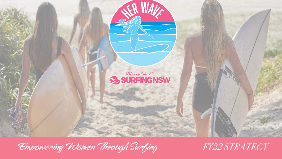

Empowering Women Through Surfing *FY22 STRATEGY*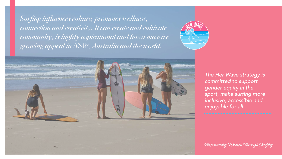*Surfing influences culture, promotes wellness, connection and creativity. It can create and cultivate community, is highly aspirational and has a massive growing appeal in NSW, Australia and the world.* 





*The Her Wave strategy is committed to support gender equity in the sport, make surfing more inclusive, accessible and enjoyable for all.*

Empowering Women Through Surfing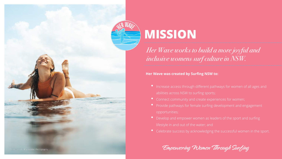

# **MISSION**

*Her Wave works to build a more joyful and inclusive womens surf culture in NSW.*

**Her Wave was created by Surfing NSW to:**

- Increase access through different pathways for women of all ages and abilities across NSW to surfing sports;
- Connect community and create experiences for women;
- Provide pathways for female surfing development and engagement opportunities;
- Develop and empower women as leaders of the sport and surfing lifestyle in and out of the water; and
- Celebrate success by acknowledging the successful women in the sport.

Empowering Women Through Surfing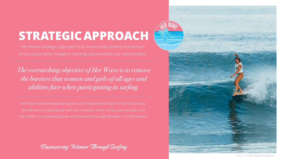## **STRATEGICAPPROACH**

Her Wave's strategic approach is to ensure that current momentum drives sustainable change in sporting culture within our communities.

*The overarching objective of Her Wave is to remove the barriers that women and girls of all ages and abilities face when participating in surfing.* 

Her Wave have developed programs and initiatives that fall into five focus areas. We will work collaboratively with our networks, communities, partnerships and role models to sustainably grow, nurture and encourage females in all these areas.

Empowering Women Through Surfing



Photo credit: Ellie Bobbie Photograph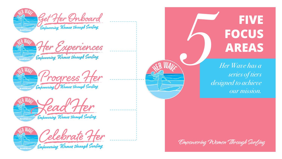









Empowering Women through Surling

**FIVE FOCUS AREAS**

*Her Wave has a series of tiers designed to achieve our mission. 5*

Empowering Women Through Surfing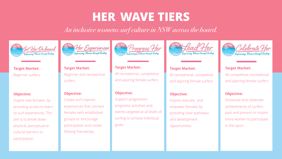## **HER WAVE TIERS**

*An inclusive womens surf culture in NSW across the board.*











#### **Target Market:** Beginner surfers

#### **Objective:**

Inspire new females by providing access to learnto-surf experiences. The aim is to break down physical, perceptual or cultural barriers to participation.

### **Target Market:** Beginner and recreational surfers

#### **Objective:**

Create surf inspired experiences that connect females with established groups to encourage participation and create lifelong friendships.

**Target Market:** All recreational, competitive and aspiring female surfers

#### **Objective:**

Support progression programs, activities and events targeted at all levels of surfing to achieve individual goals.

### **Target Market:** All recreational, competitive and aspiring female surfers

#### **Objective:**

Inspire, educate and empower females by providing clear pathways and development opportunities.

#### **Target Market:**

All competitive, recreational and aspiring female surfers

#### **Objective:**

Showcase and celebrate achievements of surfers past and present to inspire more women to participate in the sport.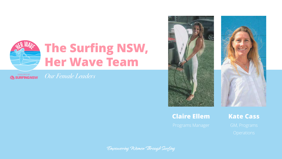

**SURFINGNSW** 

*Our Female Leaders*



### **Claire Ellem**



Empowering Women Through Surfing